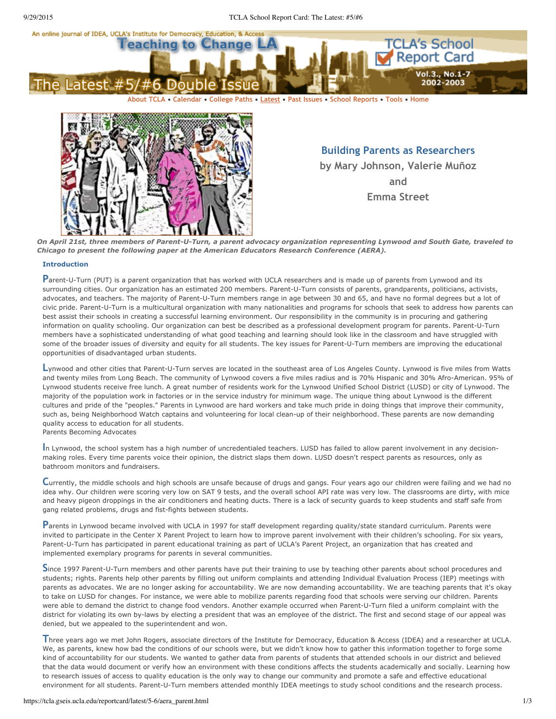



**Building Parents as Researchers by Mary Johnson, Valerie Muñoz and Emma Street**

On April 21st, three members of Parent-U-Turn, a parent advocacy organization representing Lynwood and South Gate, traveled to *Chicago to present the following paper at the American Educators Research Conference (AERA).*

# **Introduction**

Parent-U-Turn (PUT) is a parent organization that has worked with UCLA researchers and is made up of parents from Lynwood and its surrounding cities. Our organization has an estimated 200 members. Parent-U-Turn consists of parents, prandparents, politicians, activists, advocates, and teachers. The majority of Parent-U-Turn members range in age between 30 and 65, and have no formal degrees but a lot of civic pride. Parent-U-Turn is a multicultural organization with many nationalities and programs for schools that seek to address how parents can best assist their schools in creating a successful learning environment. Our responsibility in the community is in procuring and gathering information on quality schooling. Our organization can best be described as a professional development program for parents. Parent-U-Turn members have a sophisticated understanding of what good teaching and learning should look like in the classroom and have struggled with some of the broader issues of diversity and equity for all students. The key issues for Parent-U-Turn members are improving the educational opportunities of disadvantaged urban students.

Lynwood and other cities that Parent-U-Turn serves are located in the southeast area of Los Angeles County. Lynwood is five miles from Watts and twenty miles from Long Beach. The community of Lynwood covers a five miles radius and is 70% Hispanic and 30% Afro-American. 95% of Lynwood students receive free lunch. A great number of residents work for the Lynwood Unified School District (LUSD) or city of Lynwood. The majority of the population work in factories or in the service industry for minimum wage. The unique thing about Lynwood is the different cultures and pride of the "peoples." Parents in Lynwood are hard workers and take much pride in doing things that improve their community, such as, being Neighborhood Watch captains and volunteering for local clean-up of their neighborhood. These parents are now demanding quality access to education for all students. Parents Becoming Advocates

**I**<sup>n</sup> Lynwood, the school system has <sup>a</sup> high number of uncredentialed teachers. LUSD has failed to allow parent involvement in any decisionmaking roles. Every time parents voice their opinion, the district slaps them down. LUSD doesn't respect parents as resources, only as bathroom monitors and fundraisers.

**C**urrently, the middle schools and high schools are unsafe because of drugs and gangs. Four years ago our children were failing and we had no idea why. Our children were scoring very low on SAT 9 tests, and the overall school API rate was very low. The classrooms are dirty, with mice and heavy pigeon droppings in the air conditioners and heating ducts. There is a lack of security guards to keep students and staff safe from gang related problems, drugs and fist-fights between students.

Parents in Lynwood became involved with UCLA in 1997 for staff development regarding quality/state standard curriculum. Parents were invited to participate in the Center X Parent Project to learn how to improve parent involvement with their children's schooling. For six years, Parent-U-Turn has participated in parent educational training as part of UCLA's Parent Project, an organization that has created and implemented exemplary programs for parents in several communities.

Since 1997 Parent-U-Turn members and other parents have put their training to use by teaching other parents about school procedures and students; rights. Parents help other parents by filling out uniform complaints and attending Individual Evaluation Process (IEP) meetings with parents as advocates. We are no longer asking for accountability. We are now demanding accountability. We are teaching parents that it's okay to take on LUSD for changes. For instance, we were able to mobilize parents regarding food that schools were serving our children. Parents were able to demand the district to change food vendors. Another example occurred when Parent-U-Turn filed a uniform complaint with the district for violating its own by-laws by electing a president that was an employee of the district. The first and second stage of our appeal was denied, but we appealed to the superintendent and won.

**T**hree years ago we met John Rogers, associate directors of the Institute for Democracy, Education & Access (IDEA) and <sup>a</sup> researcher at UCLA. We, as parents, knew how bad the conditions of our schools were, but we didn't know how to gather this information together to forge some kind of accountability for our students. We wanted to gather data from parents of students that attended schools in our district and believed that the data would document or verify how an environment with these conditions affects the students academically and socially. Learning how to research issues of access to quality education is the only way to change our community and promote a safe and effective educational environment for all students. Parent-U-Turn members attended monthly IDEA meetings to study school conditions and the research process.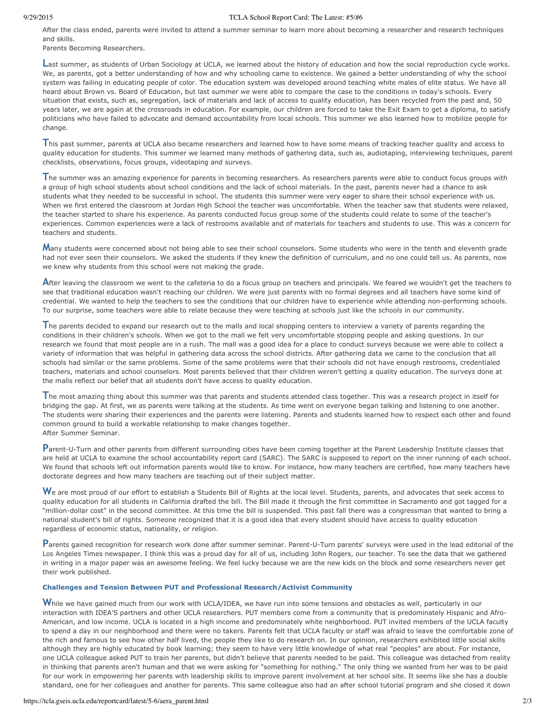## 9/29/2015 TCLA School Report Card: The Latest: #5/#6

After the class ended, parents were invited to attend a summer seminar to learn more about becoming a researcher and research techniques and skills.

Parents Becoming Researchers.

**L**ast summer, as students of Urban Sociology at UCLA, we learned about the history of education and how the social reproduction cycle works. We, as parents, got a better understanding of how and why schooling came to existence. We gained a better understanding of why the school system was failing in educating people of color. The education system was developed around teaching white males of elite status. We have all heard about Brown vs. Board of Education, but last summer we were able to compare the case to the conditions in today's schools. Every situation that exists, such as, segregation, lack of materials and lack of access to quality education, has been recycled from the past and, 50 years later, we are again at the crossroads in education. For example, our children are forced to take the Exit Exam to get a diploma, to satisfy politicians who have failed to advocate and demand accountability from local schools. This summer we also learned how to mobilize people for change.

**T**his past summer, parents at UCLA also became researchers and learned how to have some means of tracking teacher quality and access to quality education for students. This summer we learned many methods of gathering data, such as, audiotaping, interviewing techniques, parent checklists, observations, focus groups, videotaping and surveys.

**T**he summer was an amazing experience for parents in becoming researchers. As researchers parents were able to conduct focus groups with a group of high school students about school conditions and the lack of school materials. In the past, parents never had a chance to ask students what they needed to be successful in school. The students this summer were very eager to share their school experience with us. When we first entered the classroom at Jordan High School the teacher was uncomfortable. When the teacher saw that students were relaxed, the teacher started to share his experience. As parents conducted focus group some of the students could relate to some of the teacher's experiences. Common experiences were a lack of restrooms available and of materials for teachers and students to use. This was a concern for teachers and students.

**M**any students were concerned about not being able to see their school counselors. Some students who were in the tenth and eleventh grade had not ever seen their counselors. We asked the students if they knew the definition of curriculum, and no one could tell us. As parents, now we knew why students from this school were not making the grade.

After leaving the classroom we went to the cafeteria to do a focus group on teachers and principals. We feared we wouldn't get the teachers to see that traditional education wasn't reaching our children. We were just parents with no formal degrees and all teachers have some kind of credential. We wanted to help the teachers to see the conditions that our children have to experience while attending non-performing schools. To our surprise, some teachers were able to relate because they were teaching at schools just like the schools in our community.

**T**he parents decided to expand our research out to the malls and local shopping centers to interview <sup>a</sup> variety of parents regarding the conditions in their children's schools. When we got to the mall we felt very uncomfortable stopping people and asking questions. In our research we found that most people are in a rush. The mall was a good idea for a place to conduct surveys because we were able to collect a variety of information that was helpful in gathering data across the school districts. After gathering data we came to the conclusion that all schools had similar or the same problems. Some of the same problems were that their schools did not have enough restrooms, credentialed teachers, materials and school counselors. Most parents believed that their children weren't getting a quality education. The surveys done at the malls reflect our belief that all students don't have access to quality education.

**T**he most amazing thing about this summer was that parents and students attended class together. This was <sup>a</sup> research project in itself for bridging the gap. At first, we as parents were talking at the students. As time went on everyone began talking and listening to one another. The students were sharing their experiences and the parents were listening. Parents and students learned how to respect each other and found common ground to build a workable relationship to make changes together. After Summer Seminar.

Parent-U-Turn and other parents from different surrounding cities have been coming together at the Parent Leadership Institute classes that are held at UCLA to examine the school accountability report card (SARC). The SARC is supposed to report on the inner running of each school. We found that schools left out information parents would like to know. For instance, how many teachers are certified, how many teachers have doctorate degrees and how many teachers are teaching out of their subject matter.

We are most proud of our effort to establish a Students Bill of Rights at the local level. Students, parents, and advocates that seek access to quality education for all students in California drafted the bill. The Bill made it through the first committee in Sacramento and got tagged for a "million-dollar cost" in the second committee. At this time the bill is suspended. This past fall there was a congressman that wanted to bring a national student's bill of rights. Someone recognized that it is a good idea that every student should have access to quality education regardless of economic status, nationality, or religion.

Parents gained recognition for research work done after summer seminar. Parent-U-Turn parents' surveys were used in the lead editorial of the Los Angeles Times newspaper. I think this was a proud day for all of us, including John Rogers, our teacher. To see the data that we gathered in writing in a major paper was an awesome feeling. We feel lucky because we are the new kids on the block and some researchers never get their work published.

## **Challenges and Tension Between PUT and Professional Research/Activist Community**

While we have gained much from our work with UCLA/IDEA, we have run into some tensions and obstacles as well, particularly in our interaction with IDEA'S partners and other UCLA researchers. PUT members come from a community that is predominately Hispanic and Afro-American, and low income. UCLA is located in a high income and predominately white neighborhood. PUT invited members of the UCLA faculty to spend a day in our neighborhood and there were no takers. Parents felt that UCLA faculty or staff was afraid to leave the comfortable zone of the rich and famous to see how other half lived, the people they like to do research on. In our opinion, researchers exhibited little social skills although they are highly educated by book learning; they seem to have very little knowledge of what real "peoples" are about. For instance, one UCLA colleague asked PUT to train her parents, but didn't believe that parents needed to be paid. This colleague was detached from reality in thinking that parents aren't human and that we were asking for "something for nothing." The only thing we wanted from her was to be paid for our work in empowering her parents with leadership skills to improve parent involvement at her school site. It seems like she has a double standard, one for her colleagues and another for parents. This same colleague also had an after school tutorial program and she closed it down